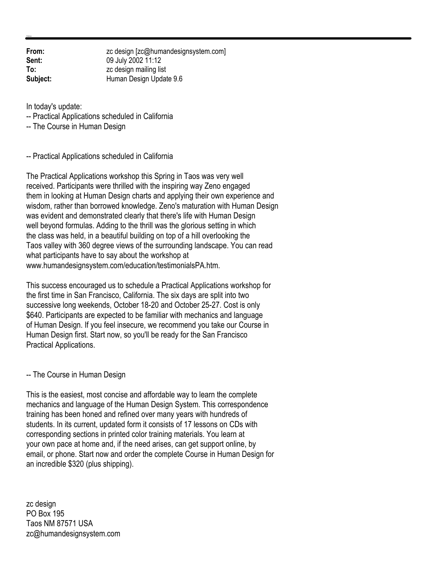**From:** zc design [zc@humandesignsystem.com] **Sent:** 09 July 2002 11:12 **To:** zc design mailing list **Subject:** Human Design Update 9.6

In today's update:

-- Practical Applications scheduled in California

-- The Course in Human Design

-- Practical Applications scheduled in California

The Practical Applications workshop this Spring in Taos was very well received. Participants were thrilled with the inspiring way Zeno engaged them in looking at Human Design charts and applying their own experience and wisdom, rather than borrowed knowledge. Zeno's maturation with Human Design was evident and demonstrated clearly that there's life with Human Design well beyond formulas. Adding to the thrill was the glorious setting in which the class was held, in a beautiful building on top of a hill overlooking the Taos valley with 360 degree views of the surrounding landscape. You can read what participants have to say about the workshop at www.humandesignsystem.com/education/testimonialsPA.htm.

This success encouraged us to schedule a Practical Applications workshop for the first time in San Francisco, California. The six days are split into two successive long weekends, October 18-20 and October 25-27. Cost is only \$640. Participants are expected to be familiar with mechanics and language of Human Design. If you feel insecure, we recommend you take our Course in Human Design first. Start now, so you'll be ready for the San Francisco Practical Applications.

## -- The Course in Human Design

This is the easiest, most concise and affordable way to learn the complete mechanics and language of the Human Design System. This correspondence training has been honed and refined over many years with hundreds of students. In its current, updated form it consists of 17 lessons on CDs with corresponding sections in printed color training materials. You learn at your own pace at home and, if the need arises, can get support online, by email, or phone. Start now and order the complete Course in Human Design for an incredible \$320 (plus shipping).

zc design PO Box 195 Taos NM 87571 USA zc@humandesignsystem.com